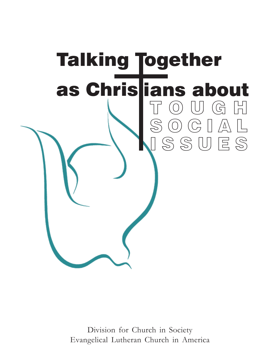

Division for Church in Society Evangelical Lutheran Church in America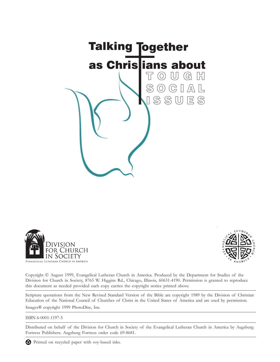





Copyright © August 1999, Evangelical Lutheran Church in America. Produced by the Department for Studies of the Division for Church in Society, 8765 W. Higgins Rd., Chicago, Illinois, 60631-4190. Permission is granted to reproduce this document as needed provided each copy carries the copyright notice printed above.

Scripture quotations from the New Revised Standard Version of the Bible are copyright 1989 by the Division of Christian Education of the National Council of Churches of Christ in the United States of America and are used by permission. Images® copyright 1999 PhotoDisc, Inc.

### ISBN 6-0001-1197-5

Distributed on behalf of the Division for Church in Society of the Evangelical Lutheran Church in America by Augsburg Fortress Publishers. Augsburg Fortress order code 69-8681.

Printed on recycled paper with soy-based inks.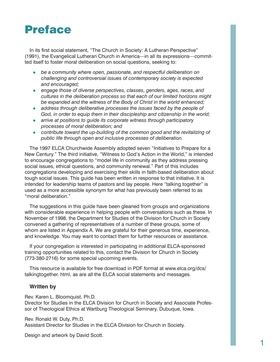# Preface

In its first social statement, "The Church in Society: A Lutheran Perspective" (1991), the Evangelical Lutheran Church in America—in all its expressions—committed itself to foster moral deliberation on social questions, seeking to:

- **•** be a community where open, passionate, and respectful deliberation on *challenging and controversial issues of contemporary society is expected and encouraged;*
- **engage those of diverse perspectives, classes, genders, ages, races, and** *cultures in the deliberation process so that each of our limited horizons might be expanded and the witness of the Body of Christ in the world enhanced;*
- address through deliberative processes the issues faced by the people of *God, in order to equip them in their discipleship and citizenship in the world;*
- *arrive at positions to guide its corporate witness through participatory processes of moral deliberation; and*
- contribute toward the up-building of the common good and the revitalizing of *public life through open and inclusive processes of deliberation.*

The 1997 ELCA Churchwide Assembly adopted seven "Initiatives to Prepare for a New Century." The third initiative, "Witness to God's Action in the World," is intended to encourage congregations to "model life in community as they address pressing social issues, ethical questions, and community renewal." Part of this includes congregations developing and exercising their skills in faith-based deliberation about tough social issues. This guide has been written in response to that initiative. It is intended for leadership teams of pastors and lay people. Here "talking together" is used as a more accessible synonym for what has previously been referred to as "moral deliberation."

The suggestions in this guide have been gleaned from groups and organizations with considerable experience in helping people with conversations such as these. In November of 1998, the Department for Studies of the Division for Church in Society convened a gathering of representatives of a number of these groups, some of whom are listed in Appendix A. We are grateful for their generous time, experience, and knowledge. You may want to contact them for further resources or assistance.

If your congregation is interested in participating in additional ELCA-sponsored training opportunities related to this, contact the Division for Church in Society (773-380-2716) for some special upcoming events.

This resource is available for free download in PDF format at www.elca.org/dcs/ talkingtogether. html, as are all the ELCA social statements and messages.

### **Written by**

Rev. Karen L. Bloomquist, Ph.D.

Director for Studies in the ELCA Division for Church in Society and Associate Professor of Theological Ethics at Wartburg Theological Seminary, Dubuque, Iowa.

Rev. Ronald W. Duty, Ph.D. Assistant Director for Studies in the ELCA Division for Church in Society.

Design and artwork by David Scott.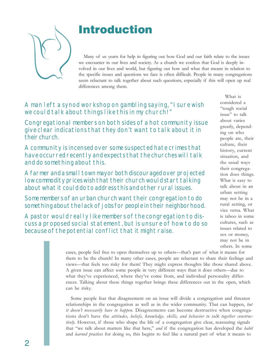# Introduction

Many of us yearn for help in figuring out how God and our faith relate to the issues we encounter in our lives and society. As a church we confess that God is deeply involved in our lives and world, but figuring out how and what that means in relation to the specific issues and questions we face is often difficult. People in many congregations seem reluctant to talk together about such questions, especially if this will open up real differences among them.

A man left a synod workshop on gambling saying, "I sure wish we could talk about things like this in my church!"

Congregational members on both sides of a hot community issue give clear indications that they don't want to talk about it in their church.

A community is incensed over some suspected hate crimes that have occurred recently and expects that the churches will talk and do something about this.

A farmer and a small town mayor both discouraged over projected low commodity prices wish that their church would start talking about what it could do to address this and other rural issues.

Some members of an urban church want their congregation to do something about the lack of jobs for people in their neighborhood.

A pastor would really like members of the congregation to discuss a proposed social statement, but is unsure of how to do so because of the potential conflict that it might raise.

What is considered a "tough social issue" to talk about varies greatly, depending on who people are, their culture, their history, current situation, and the usual ways their congregation does things. What is easy to talk about in an urban setting may not be in a rural setting, or vice versa. What is taboo in some cultures, such as issues related to sex or money, may not be in others. In some

cases, people feel free to open themselves up to others—that's part of what it means for them to be the church! In many other cases, people are reluctant to share their feelings and views—that feels too risky for them! They might express thoughts like those shared above. A given issue can affect some people in very different ways than it does others—due to what they've experienced, where they've come from, and individual personality differences. Talking about these things together brings these differences out in the open, which can be risky.

Some people fear that disagreement on an issue will divide a congregation and threaten relationships in the congregation as well as in the wider community. That can happen, *but it doesn't necessarily have to happen*. Disagreements can become destructive when congregations don't have the *attitudes, beliefs, knowledge, skills, and behavior to talk together constructively*. However, if those who shape the life of a congregation give clear, reassuring signals that "we talk about matters like that here," *and* if the congregation has developed the *habit* and *learned practices* for doing so, this begins to feel like a natural part of what it means to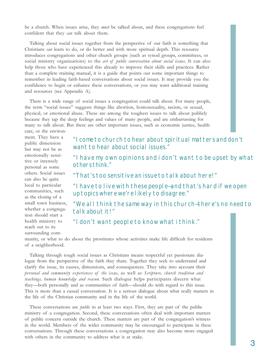be a church. When issues arise, they *must* be talked about, and these congregations feel confident that they *can* talk about them.

Talking about social issues together from the perspective of our faith is something that Christians *can* learn to do, or do better and with more spiritual depth. This resource introduces congregations and other church groups (such as synod groups, committees, or social ministry organizations) to the *art of public conversation about social issues*. It can also help those who have experienced this already to improve their skills and practices. Rather than a complete training manual, it is a guide that points out some important things to remember in leading faith-based conversations about social issues. It may provide you the confidence to begin or enhance these conversations, or you may want additional training and resources (see Appendix A).

There is a wide range of social issues a congregation could talk about. For many people, the term "social issues" suggests things like abortion, homosexuality, racism, or sexual, physical, or emotional abuse. These are among the toughest issues to talk about publicly because they tap the deep feelings and values of many people, and are embarrassing for many to talk about. But there are other important issues, such as economic justice, health care, or the environ-

ment. They have a public dimension but may not be as emotionally sensitive or intensely personal as some others. Social issues can also be quite local to particular communities, such as the closing of a small town business, whether a congregation should start a health ministry to reach out to its surrounding com-

"I come to church to hear about spiritual matters and don't want to hear about social issues."

"I have my own opinions and i don't want to be upset by what others think."

"That's too sensitive an issue to talk about here!"

"I have to live with these people—and that's hard if we open up topics where we're likely to disagree."

"We all think the same way in this church—there's no need to talk about it!"

"I don't want people to know what i think."

munity, or what to do about the prostitutes whose activities make life difficult for residents of a neighborhood.

Talking through tough social issues as Christians means respectful yet passionate dialogue from the perspective of the faith they share. Together they seek to understand and clarify the issue, its causes, dimensions, and consequences. They take into account their *personal and community experiences of the issue*, as well as *Scripture, church tradition and teachings, human knowledge and reason*. Such dialogue helps participants discern what they—both personally and as communities of faith—should do with regard to this issue. This is more than a casual conversation. It is a serious dialogue about what really matters in the life of the Christian community and in the life of the world.

These conversations are *public* in at least two ways. First, they are part of the public ministry of a congregation. Second, these conversations often deal with important matters of public concern outside the church. These matters are part of the congregation's witness in the world. Members of the wider community may be encouraged to participate in these conversations. Through these conversations a congregation may also become more engaged with others in the community to address what is at stake.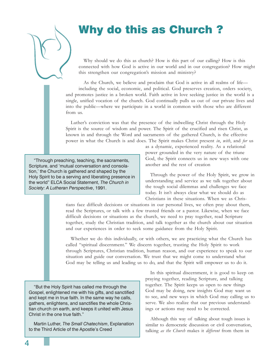# Why do this as Church ?

Why should we do this as church? How is this part of our calling? How is this connected with how God is active in our world and in our congregation? How might this strengthen our congregation's mission and ministry?

As the Church, we believe and proclaim that God is active in all realms of life including the social, economic, and political. God preserves creation, orders society, and promotes justice in a broken world. Faith active in love seeking justice in the world is a single, unified vocation of the church. God continually pulls us out of our private lives and into the public—where we participate in a world in common with those who are different from us.

Luther's conviction was that the presence of the indwelling Christ through the Holy Spirit is the source of wisdom and power. The Spirit of the crucified and risen Christ, as known in and through the Word and sacraments of the gathered Church, is the effective power in what the Church is and does. The Spirit makes Christ present *in*, *with*, and *for* us

"Through preaching, teaching, the sacraments, Scripture, and 'mutual conversation and consolation,' the Church is gathered and shaped by the Holy Spirit to be a serving and liberating presence in the world" ELCA Social Statement, *The Church in Society: A Lutheran Perspective*, 1991.

as a dynamic, experienced reality. As a relational power grounded in the very nature of the triune God, the Spirit connects us in new ways with one another and the rest of creation

Through the power of the Holy Spirit, we grow in understanding and service as we talk together about the tough social dilemmas and challenges we face today. It isn't always clear what we should do as Christians in these situations. When we as Chris-

tians face difficult decisions or situations in our personal lives, we often pray about them, read the Scriptures, or talk with a few trusted friends or a pastor. Likewise, when we face difficult decisions or situations as the church, we need to pray together, read Scripture together, study the Christian tradition, and talk together as the church about our situation and our experiences in order to seek some guidance from the Holy Spirit.

Whether we do this individually, or with others, we are practicing what the Church has called "spiritual discernment." We discern together, trusting the Holy Spirit to work through Scriptures, Christian tradition, human reason, and our experience to speak to our situation and guide our conversation. We trust that we might come to understand what God may be telling us and leading us to do, and that the Spirit will empower us to do it.

"But the Holy Spirit has called me through the Gospel, enlightened me with his gifts, and sanctified and kept me in true faith. In the same way he calls, gathers, enlightens, and sanctifies the whole Christian church on earth, and keeps it united with Jesus Christ in the one true faith."

Martin Luther, *The Small Chatechism*, Explanation to the Third Article of the Apostle's Creed

In this spiritual discernment, it is good to keep on praying together, reading Scripture, and talking together. The Spirit keeps us open to new things God may be doing, new insights God may want us to see, and new ways in which God may calling us to serve. We also realize that our previous understandings or actions may need to be corrected.

Although this way of talking about tough issues is similar to democratic discussion or civil conversation, talking *as the Church* makes it *different* from them in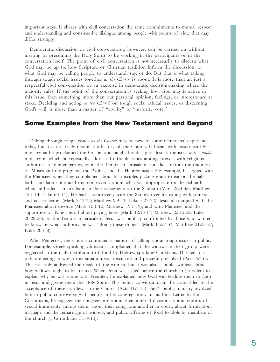important ways. It shares with civil conversation the same commitments to mutual respect and understanding and constructive dialogue among people with points of view that may differ strongly.

Democratic discussion or civil conversation, however, can be carried on without inviting or presuming the Holy Spirit to be working in the participants or in the conversation itself. The point of civil conversation is not necessarily to discern what God may be up to, how Scripture or Christian tradition inform the discussion, or what God may be calling people to understand, say, or do. But that *is* what talking through tough social issues together *as the Church* is about. It is more than an just a respectful civil conversation or an exercise in democratic decision-making where the majority rules. If the point of the conversation is seeking how God may is active in this issue, then something more than our personal opinion, feelings, or interests are at stake. Deciding and acting *as the Church* on tough social ethical issues, or discerning God's will, is more than a matter of "civility" or "majority vote."

### Some Examples from the New Testament and Beyond

Talking through tough issues *as the Church* may be new to some Christians' experience today, but it is not really new in the history of the Church. It began with Jesus's earthly ministry as he proclaimed the Gospel and taught his disciples. Jesus's ministry was a *public* ministry in which he repeatedly addressed difficult issues among crowds, with religious authorities, at dinner parties, or in the Temple in Jerusalem, and did so from the tradition of Moses and the prophets, the Psalms, and the Hebrew sages. For example, he argued with the Pharisees when they complained about his disciples picking grain to eat on the Sabbath, and later continued this controversy about what was appropriate on the Sabbath when he healed a man's hand in their synagogue on the Sabbath (Mark 2:23-3:6; Matthew 12:1-14; Luke 6:1-11). He had a controversy with the Scribes over his eating with sinners and tax collectors (Mark 2:13-17; Matthew 9:9-13; Luke 5:27-32). Jesus also argued with the Pharisees about divorce (Mark 10:1-12; Matthew 19:1-19), and with Pharisees and the supporters of King Herod about paying taxes (Mark 12:13-17; Matthew 22:15-22; Luke 20:20-26). In the Temple in Jerusalem, Jesus was publicly confronted by those who wanted to know by what authority he was "doing these things" (Mark 11:27-33; Matthew 21:23-27; Luke 20:1-8).

After Pentecost, the Church continued a pattern of talking about tough issues in public. For example, Greek-speaking Christians complained that the widows in their group were neglected in the daily distribution of food by Hebrew-speaking Christians. This led to a public meeting in which this situation was discussed and peacefully resolved (Acts 6:1-6). This not only addressed the needs of the women, but it was also a public witness about how widows ought to be treated. When Peter was called before the church in Jerusalem to explain why he was eating with Gentiles, he explained how God was leading them to faith in Jesus and giving them the Holy Spirit. This public conversation in the council led to the acceptance of these non-Jews in the Church (Acts 11:1-18). Paul's public ministry involved him in public controversy with people in his congregations. In his First Letter to the Corinthians, he engages the congregation about their internal divisions, about reports of sexual immorality among them, about their suing one another in court, about fornication, marriage and the remarriage of widows, and public offering of food to idols by members of the church (I Corinthians 3:1-9:13).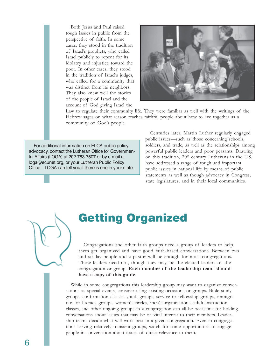Both Jesus and Paul raised tough issues in public from the perspective of faith. In some cases, they stood in the tradition of Israel's prophets, who called Israel publicly to repent for its idolatry and injustice toward the poor. In other cases, they stood in the tradition of Israel's judges, who called for a community that was distinct from its neighbors. They also knew well the stories of the people of Israel and the account of God giving Israel the



Law to regulate their community life. They were familiar as well with the writings of the Hebrew sages on what reason teaches faithful people about how to live together as a community of God's people.

For additional information on ELCA public policy advocacy, contact the Lutheran Office for Governmental Affairs (LOGA) at 202-783-7507 or by e-mail at loga@ecunet.org, or your Lutheran Public Policy Office—LOGA can tell you if there is one in your state.

Centuries later, Martin Luther regularly engaged public issues—such as those concerning schools, soldiers, and trade, as well as the relationships among powerful public leaders and poor peasants. Drawing on this tradition,  $20<sup>th</sup>$  century Lutherans in the U.S. have addressed a range of tough and important public issues in national life by means of public statements as well as though advocacy in Congress, state legislatures, and in their local communities.

# Getting Organized

Congregations and other faith groups need a group of leaders to help them get organized and have good faith-based conversations. Between two and six lay people and a pastor will be enough for most congregations. These leaders need not, though they may, be the elected leaders of the congregation or group. **Each member of the leadership team should have a copy of this guide.**

While in some congregations this leadership group may want to organize conversations as special events, consider using existing occasions or groups. Bible study groups, confirmation classes, youth groups, service or fellowship groups, immigration or literacy groups, women's circles, men's organizations, adult instruction classes, and other ongoing groups in a congregation can all be occasions for holding conversations about issues that may be of vital interest to their members. Leadership teams decide what will work best in a given congregation. Even in congregations serving relatively transient groups, watch for some opportunities to engage people in conversation about issues of direct relevance to them.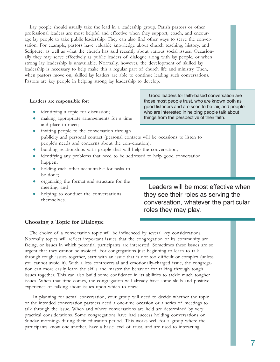Lay people should usually take the lead in a leadership group. Parish pastors or other professional leaders are most helpful and effective when they support, coach, and encourage lay people to take public leadership. They can also find other ways to serve the conversation. For example, pastors have valuable knowledge about church teaching, history, and Scripture, as well as what the church has said recently about various social issues. Occasionally they may serve effectively as public leaders of dialogue along with lay people, or when strong lay leadership is unavailable. Normally, however, the development of skilled lay leadership is necessary to help make this a regular part of church life and ministry. Then, when pastors move on, skilled lay leaders are able to continue leading such conversations. Pastors are key people in helping strong lay leadership to develop.

### **Leaders are responsible for:**

- identifying a topic for discussion;
- making appropriate arrangements for a time and place to meet;
- inviting people to the conversation through publicity and personal contact (personal contacts will be occasions to listen to people's needs and concerns about the conversation);
- $\bullet$  building relationships with people that will help the conversation;
- identifying any problems that need to be addressed to help good conversation happen;
- holding each other accountable for tasks to be done;
- organizing the format and structure for the meeting; and
- helping to conduct the conversations themselves.

Leaders will be most effective when they see their roles as serving the conversation, whatever the particular roles they may play.

### **Choosing a Topic for Dialogue**

The choice of a conversation topic will be influenced by several key considerations. Normally topics will reflect important issues that the congregation or its community are facing, or issues in which potential participants are interested. Sometimes these issues are so urgent that they cannot be avoided. For congregations just beginning to learn to talk through tough issues together, start with an issue that is not too difficult or complex (unless you cannot avoid it). With a less controversial and emotionally-charged issue, the congregation can more easily learn the skills and master the behavior for talking through tough issues together. This can also build some confidence in its abilities to tackle much tougher issues. When that time comes, the congregation will already have some skills and positive experience of talking about issues upon which to draw.

In planning for actual conversation, your group will need to decide whether the topic or the intended conversation partners need a one-time occasion or a series of meetings to talk through the issue. When and where conversations are held are determined by very practical considerations. Some congregations have had success holding conversations on Sunday mornings during their education period. This works well for a group where the participants know one another, have a basic level of trust, and are used to interacting.

Good leaders for faith-based conversation are those most people trust, who are known both as good listeners and are seen to be fair, and people who are interested in helping people talk about things from the perspective of their faith.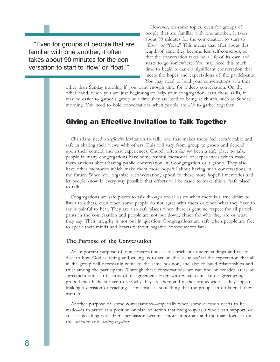"Even for groups of people that are familiar with one another, it often takes about 90 minutes for the conversation to start to 'flow' or 'float.'"

However, on some topics, even for groups of people that are familiar with one another, it takes about 90 minutes for the conversation to start to "flow" or "float." This means that after about this length of time they become less self-conscious, so that the conversation takes on a life of its own and starts to go somewhere. You may need this much time to begin to have a significant conversation that meets the hopes and expectations of the participants. You may need to hold your conversations at a time

other than Sunday morning if you want enough time for a deep conversation. On the other hand, when you are just beginning to help your congregation learn these skills, it may be easier to gather a group at a time they are used to being at church, such as Sunday morning. You need to hold conversations when people are *able* to gather together.

### Giving an Effective Invitation to Talk Together

Christians need an *effective* invitation to talk, one that makes them feel comfortable and safe in sharing their views with others. This will vary from group to group and depend upon their context and past experiences. Church often *has not* been a safe place to talk; people in many congregations have some painful memories of experiences which make them anxious about having public conversation in a congregation or a group. They also have other memories which make them more hopeful about having such conversations in the future. When you organize a conversation, appeal to these more hopeful memories and let people know in every way possible that efforts will be made to make this a "safe place" to talk.

Congregations are safe places to talk through social issues when there is a true desire to listen to others, even when some people do not agree with them or when what they have to say is painful to hear. They are also safe places when there is genuine respect for all participants in the conversation and people are not put down, either for who they are or what they say. Their integrity is not put in question. Congregations are safe when people are free to speak their minds and hearts without negative consequences later.

### **The Purpose of the Conversation**

An important purpose of our conversations is to enrich our understandings and try to discern how God is acting and calling us to act on this issue *without* the expectation that all in the group will necessarily come to the same position, and also to build relationships and trust among the participants. Through these conversations, we can find or broaden areas of agreement and clarify areas of disagreement. Even with what seem like disagreements, probe beneath the surface to see why they are there and if they are as wide as they appear. Making a decision or reaching a consensus is something that the group can do later if they want to.

Another purpose of some conversations—especially when some decision needs to be made—is to arrive at a position or plan of action that the group as a whole can support, or at least go along with. Here persuasion becomes more important and the main focus is on the *deciding* and *acting together*.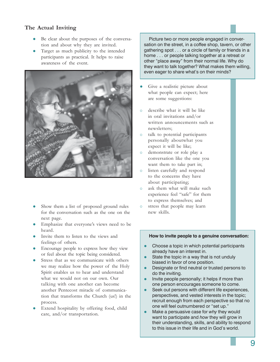### **The Actual Inviting**

- Be clear about the purposes of the conversation and about why they are invited.
- Target as much publicity to the intended participants as practical. It helps to raise awareness of the event.



- Show them a list of proposed ground rules for the conversation such as the one on the next page.
- Emphasize that everyone's views need to be heard.
- Invite them to listen to the views and feelings of others.
- **Encourage people to express how they view** or feel about the topic being considered.
- Stress that as we communicate with others we may realize how the power of the Holy Spirit enables us to hear and understand what we would not on our own. Our talking with one another can become another Pentecost miracle of communication that transforms the Church (us!) in the process.
- Extend hospitality by offering food, child care, and/or transportation.

Picture two or more people engaged in conversation on the street, in a coffee shop, tavern, or other gathering spot . . . or a circle of family or friends in a home . . . or people talking together at a retreat or other "place away" from their normal life. Why do they want to talk together? What makes them willing, even eager to share what's on their minds?

- Give a realistic picture about what people can expect; here are some suggestions:
- { describe what it will be like in oral invitations and/or written announcements such as newsletters;
- { talk to potential participants personally aboutwhat you expect it will be like;
- { demonstrate or role play a conversation like the one you want them to take part in;
- $\circ$  listen carefully and respond to the concerns they have about participating;
- { ask them what will make such experience feel "safe" for them to express themselves; and
- o stress that people may learn new skills.

### **How to invite people to a genuine conversation:**

- Choose a topic in which potential participants already have an interest in.
- State the topic in a way that is not unduly biased in favor of one position.
- Designate or find neutral or trusted persons to do the inviting.
- Invite people personally; it helps if more than one person encourages someone to come.
- Seek out persons with different life experiences, perspectives, and vested interests in the topic; recruit enough from each perspective so that no one will feel outnumbered or "set up."
- Make a persuasive case for why they would want to participate and *how* they will grow in their understanding, skills, and ability to respond to this issue in their life and in God's world.

9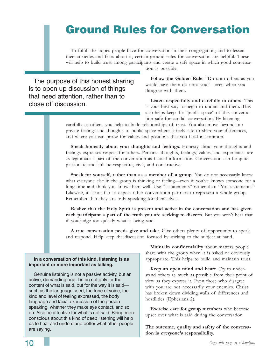# Ground Rules for Conversation

To fulfill the hopes people have for conversation in their congregation, and to lessen their anxieties and fears about it, certain ground rules for conversation are helpful. These will help to build trust among participants and create a safe space in which good conversa-

The purpose of this honest sharing is to open up discussion of things that need attention, rather than to close off discussion.

tion is possible.

**Follow the Golden Rule**: "Do unto others as you would have them do unto you"—even when you disagree with them.

**Listen respectfully and carefully to others**. This is your best way to begin to understand them. This also helps keep the "public space" of this conversation safe for candid conversation. By listening

carefully to others, you help to build relationships of trust. You also move beyond our private feelings and thoughts to public space where it feels safe to share your differences, and where you can probe for values and positions that you hold in common.

**Speak honestly about your thoughts and feelings**. Honesty about your thoughts and feelings expresses respect for others. Personal thoughts, feelings, values, and experiences are as legitimate a part of the conversation as factual information. Conversation can be quite passionate and still be respectful, civil, and constructive.

**Speak for yourself, rather than as a member of a group**. You do not necessarily know what everyone else in the group is thinking or feeling—even if you've known someone for a long time and think you know them well. Use "I-statements" rather than "You-statements." Likewise, it is not fair to expect other conversation partners to represent a whole group. Remember that they are only speaking for themselves.

**Realize that the Holy Spirit is present and active in the conversation and has given each participant a part of the truth you are seeking to discern**. But you won't hear that if you judge too quickly what is being said!

**A true conversation needs give and take**. Give others plenty of opportunity to speak and respond. Help keep the discussion focused by sticking to the subject at hand.

### **In a conversation of this kind, listening is as important or more important as talking.**

Genuine listening is not a passive activity, but an active, demanding one. Listen not only for the content of what is said, but for the way it is said such as the language used, the tone of voice, the kind and level of feeling expressed, the body language and facial expression of the person speaking, whether they make eye contact, and so on. Also be attentive for what is not said. Being more conscious about this kind of deep listening will help us to hear and understand better what other people are saying.

**Maintain confidentiality** about matters people share with the group when it is asked or obviously appropriate. This helps to build and maintain trust.

**Keep an open mind and heart**. Try to understand others as much as possible from their point of view as they express it. Even those who disagree with you are not necessarily your enemies. Christ has broken down dividing walls of differences and hostilities (Ephesians 2).

**Exercise care for group members** who become upset over what is said during the conversation.

**The outcome, quality and safety of the conversation is everyone's responsibility.**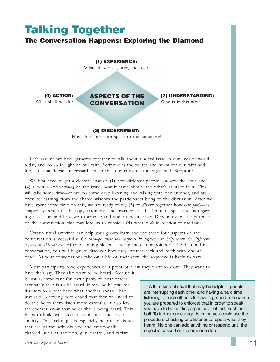## Talking Together The Conversation Happens: Exploring the Diamond ASPECTS OF THE CONVERSATION (1) EXPERIENCE: What do we see, hear, and feel? (3) DISCERNMENT: How does our faith speak to this situation? (4) ACTION: What shall we do? (2) UNDERSTANDING: Why is it this way?

Let's assume we have gathered together to talk about a social issue in our lives or world today, and do so in light of our faith. Scripture is the source and norm for our faith and life, but that doesn't necessarily mean that our conversation *begins* with Scripture.

We first need to get a clearer sense of **(1)** how different people *experience* the issue and **(2)** a better *understanding* of the issue, how it came about, and what's at stake in it. This will take some time—if we do some deep listening and talking with one another, and are open to learning from the shared wisdom the participants bring to the discussion. After we have spent some time on this, we are ready to try **(3)** to *discern* together how our *faith*—as shaped by Scripture, theology, traditions, and practices of the Church—speaks to us regarding this issue, and how we experience and understand it today. Depending on the purpose of the conversation, this may lead us to consider **(4)** what *to do* in relation to the issue.

Certain ritual activities can help your group learn and use these four aspects of the conversation successfully. *Go through these four aspects in sequence to help learn the different aspects of this process*. After becoming skilled at using these four points of the diamond in conversation, you will begin to discover how they interact back and forth with one another. As your conversations take on a life of their own, the sequence is likely to vary.

Most participants have experiences or a point of view they want to share. They want to

have their say. They also want to be heard. Because it is just as important for participants to hear others accurately as it is to be heard, it may be helpful for listeners to repeat back what another speaker had just said. Knowing beforehand that they will need to do this helps them listen more carefully. It also lets the speaker know that he or she is being heard. This helps to build trust and relationships, and lowers anxiety. This technique is especially helpful on issues that are particularly divisive and emotionallycharged, such as abortion, gun control, and racism.

A third kind of ritual that may be helpful if people are interrupting each other and having a hard time listening to each other is to have a ground rule (which you are prepared to enforce) that in order to speak, you have to be holding a particular object, such as a ball. To further encourage listening you could use the procedure of asking one listener to repeat what they heard. No one can add anything or respond until the object is passed on to someone else.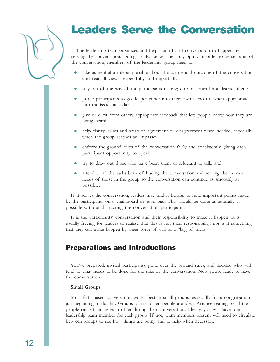# Leaders Serve the Conversation

The leadership team organizes and helps faith-based conversation to happen by serving the conversation. Doing so also serves the Holy Spirit. In order to be servants of the conversation, members of the leadership group need to:

- take as neutral a role as possible about the course and outcome of the conversation and treat all views respectfully and impartially;
- stay out of the way of the participants talking; do not control nor distract them;
- z probe participants to go deeper either into their own views or, when appropriate, into the issues at stake;
- z give or elicit from others appropriate feedback that lets people know how they are being heard;
- help clarify issues and areas of agreement or disagreement when needed, especially when the group reaches an impasse;
- enforce the ground rules of the conversation fairly and consistently, giving each participant opportunity to speak;
- try to draw out those who have been silent or reluctant to talk; and
- attend to all the tasks both of leading the conversation and serving the human needs of those in the group so the conversation can continue as smoothly as possible.

If it serves the conversation, leaders may find it helpful to note important points made by the participants on a chalkboard or easel pad. This should be done as naturally as possible without distracting the conversation participants.

It is the participants' conversation and their responsibility to make it happen. It is usually freeing for leaders to realize that this is not their responsibility, nor is it something that they can make happen by sheer force of will or a "bag of tricks."

### Preparations and Introductions

You've prepared, invited participants, gone over the ground rules, and decided who will tend to what needs to be done for the sake of the conversation. Now you're ready to have the conversation.

### **Small Groups**

Most faith-based conversation works best in small groups, especially for a congregation just beginning to do this. Groups of six to ten people are ideal. Arrange seating so all the people can sit facing each other during their conversation. Ideally, you will have one leadership team member for each group. If not, team members present will need to circulate between groups to see how things are going and to help when necessary.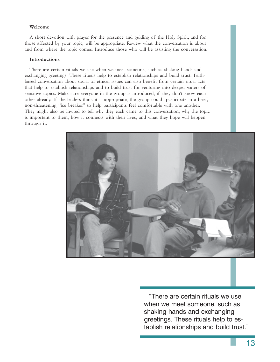### **Welcome**

A short devotion with prayer for the presence and guiding of the Holy Spirit, and for those affected by your topic, will be appropriate. Review what the conversation is about and from where the topic comes. Introduce those who will be assisting the conversation.

### **Introductions**

There are certain rituals we use when we meet someone, such as shaking hands and exchanging greetings. These rituals help to establish relationships and build trust. Faithbased conversation about social or ethical issues can also benefit from certain ritual acts that help to establish relationships and to build trust for venturing into deeper waters of sensitive topics. Make sure everyone in the group is introduced, if they don't know each other already. If the leaders think it is appropriate, the group could participate in a brief, non-threatening "ice breaker" to help participants feel comfortable with one another. They might also be invited to tell why they each came to this conversation, why the topic is important to them, how it connects with their lives, and what they hope will happen through it.



"There are certain rituals we use when we meet someone, such as shaking hands and exchanging greetings. These rituals help to establish relationships and build trust."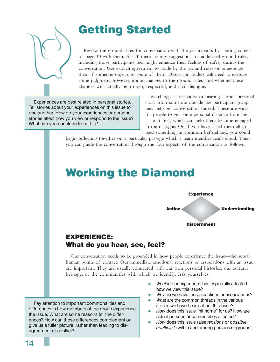

# Getting Started

Review the ground rules for conversation with the participants by sharing copies of page 10 with them. Ask if there are any suggestions for additional ground rules, including those participants feel might enhance their feeling of safety during the conversation. Get explicit agreement to abide by the ground rules or renegotiate them if someone objects to some of them. Discussion leaders will need to exercise some judgment, however, about changes to the ground rules, and whether these changes will actually help open, respectful, and civil dialogue.

Experiences are best related in personal stories. Tell stories about your experiences on this issue to one another. How do your experiences or personal stories affect how you view or respond to the issue? What can you conclude from this?

Watching a short video or hearing a brief personal story from someone outside the participant group may help get conversation started. These are ways for people to get some personal distance from the issue at first, which can help them become engaged in the dialogue. Or, if you have asked them all to read something in common beforehand, you could

begin reflecting together on a particular passage which a team member reads aloud. Then you can guide the conversation through the four aspects of the conversation as follows.

## Working the Diamond



### EXPERIENCE: What do you hear, see, feel?

Our conversation needs to be grounded in how people experience the issue—the actual human points of contact. Our immediate emotional reactions or associations with an issue are important. They are usually connected with our own personal histories, our cultural heritage, or the communities with which we identify. Ask yourselves:

Pay attention to important commonalities and differences in how members of the group experience the issue. What are some reasons for the differences? How can these differences complement or give us a fuller picture, rather than leading to disagreement or conflict?

- *What* in our experience has especially affected how we view this issue?
- Why do we have these reactions or associations?
- *What* are the common threads in the various stories we have heard about this issue?
- How does this issue "hit home" for us? How are actual persons or communities affected?
- z *How* does this issue raise *tensions* or *possible conflicts*? (within and among persons or groups).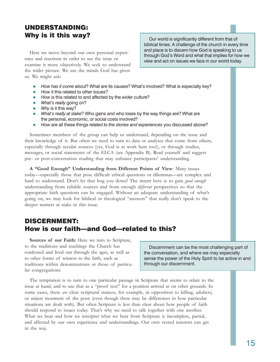### UNDERSTANDING: Why is it this way?

Here we move beyond our own personal experience and reactions in order to see the issue or examine it more objectively. We seek to understand the wider picture. We use the minds God has given us. We might ask:

Our world is significantly different from that of biblical times. A challenge of the church in every time and place is to discern how God is speaking to us through God's Word and what that implies for how we view and act on issues we face in our world today.

- How has it come about? What are its causes? What's involved? What is especially key?
- z *How* it this related to *other issues*?
- How is this related to and affected by the *wider culture*?
- *What's really* going on?
- *Why* is it this way?
- *What's really at stake*? Who gains and who loses by the way things are? What are the personal, economic, or social costs involved?
- z *How* are all these things *related to the stories and experiences* you discussed above?

Sometimes members of the group can help us understand, depending on the issue and their knowledge of it. But often we need to turn to data or analyses that come from others, especially through secular sources (yes, God is at work here too!), or through studies, messages, or social statements of the ELCA (see Appendix B). Read yourself and suggest pre- or post-conversation reading that may enhance participants' understanding.

**A "Good Enough" Understanding from Different Points of View**: Many issues today—especially those that pose difficult ethical questions or dilemmas—are complex and hard to understand. Don't let that bog you down! The intent here is to gain *good enough* understanding from reliable sources and from enough *different* perspectives so that the appropriate faith questions can be engaged. Without an adequate understanding of what's going on, we may look for biblical or theological "answers" that really don't speak to the deeper matters at stake in this issue.

### DISCERNMENT: How is our faith—and God—related to this?

**Sources of our Faith:** Here we turn to Scripture, to the traditions and teachings the Church has confessed and lived out through the ages, as well as to other forms of witness to the faith, such as traditions within denominations or those of particular congregations.

Discernment can be the most challenging part of the conversation, and where we may especially sense the power of the Holy Spirit to be active in and through our discernment.

The temptation is to turn to one particular passage in Scripture that seems to relate to the issue at hand, and to use that as a "proof text" for a position arrived at on other grounds. In some cases, there *are* clear scriptural stances, for example, in opposition to killing, adultery, or unjust treatment of the poor (even though there may be differences in how particular situations are dealt with). But often Scripture is less than clear about how people of faith should respond to issues today. That's why we need to talk together with one another. What we hear and how we interpret what we hear from Scripture is incomplete, partial, and affected by our own experience and understandings. Our own vested interests can get in the way.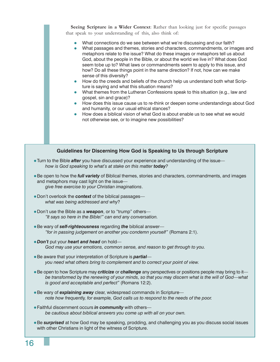**Seeing Scripture in a Wider Context**: Rather than looking just for specific passages that speak to your understanding of this, also think of:

- What connections do we see between what we're discussing and our faith?
- What passages and themes, stories and characters, commandments, or images and metaphors relate to the issue? What do these images or metaphors tell us about God, about the people in the Bible, or about the world we live in? What does God seem tobe up to? What laws or commandments seem to apply to this issue, and how? Do all these things point in the same direction? If not, how can we make sense of this diversity?
- How do the creeds and beliefs of the church help us understand both what Scripture is saying and what this situation means?
- $\bullet$  What themes from the Lutheran Confessions speak to this situation (e.g., law and gospel, sin and grace)?
- How does this issue cause us to re-think or deepen some understandings about God and humanity, or our usual ethical stances?
- How does a biblical vision of what God is about enable us to see what we would not otherwise see, or to imagine new possibilities?

### **Guidelines for Discerning How God is Speaking to Us through Scripture**

- Turn to the Bible *after* you have discussed your experience and understanding of the issue *how is God speaking to what's at stake on this matter today?*
- **Be open to how the** *full variety* of Biblical themes, stories and characters, commandments, and images and metaphors may cast light on the issue *give free exercise to your Christian imaginations*.
- **Don't overlook the context of the biblical passages** *what was being addressed and why*?
- Don't use the Bible as a **weapon**, or to "trump" others— *"It says so here in the Bible!" can end any conversation.*
- **Be wary of self-righteousness** regarding *the* biblical answer— *"for in passing judgement on another you condemn yourself"* (Romans 2:1).
- *Don't* put your *heart and head* on hold— *God may use your emotions, common sense, and reason to get through to you.*
- Be aware that your interpretation of Scripture is *partial you need what others bring to complement and to correct your point of view.*
- Be open to how Scripture may *criticize* or *challenge* any perspectives or positions people may bring to it *be transformed by the renewing of your minds, so that you may discern what is the will of God—what is good and acceptable and perfect"* (Romans 12:2).
- Be wary of *explaining away* clear, widespread commands in Scripture *note how frequently, for example, God calls us to respond to the needs of the poor.*
- **Faithful discernment occurs in community** with others *be cautious about biblical answers you come up with all on your own.*
- **Be surprised** at how God may be speaking, prodding, and challenging you as you discuss social issues with other Christians in light of the witness of Scripture.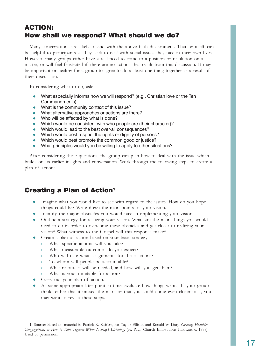### ACTION: How shall we respond? What should we do?

Many conversations are likely to end with the above faith discernment. That by itself can be helpful to participants as they seek to deal with social issues they face in their own lives. However, many groups either have a real need to come to a position or resolution on a matter, or will feel frustrated if there are no actions that result from this discussion. It may be important or healthy for a group to agree to do at least one thing together as a result of their discussion.

In considering what to do, ask:

- What especially informs how we will respond? (e.g., Christian love or the Ten Commandments)
- What is the community context of this issue?
- What alternative approaches or actions are there?
- Who will be affected by what is done?
- Which would be consistent with who people are (their character)?
- Which would lead to the best over-all consequences?
- Which would best respect the rights or dignity of persons?
- Which would best promote the common good or justice?
- What principles would you be willing to apply to other situations?

After considering these questions, the group can plan how to deal with the issue which builds on its earlier insights and conversation. Work through the following steps to create a plan of action:

### Creating a Plan of Action<sup>1</sup>

- Imagine what you would like to see with regard to the issues. How do you hope things could be? Write down the main points of your vision.
- Identify the major obstacles you would face in implementing your vision.
- z Outline a strategy for realizing your vision. What are the main things you would need to do in order to overcome these obstacles and get closer to realizing your vision? What witness to the Gospel will this response make?
- Create a plan of action based on your basic strategy:
	- { What specific actions will you take?
	- { What measurable outcomes do you expect?
	- { Who will take what assignments for these actions?
	- { To whom will people be accountable?
	- { What resources will be needed, and how will you get them?
	- { What is your timetable for action?
- Carry out your plan of action.
- At some appropriate later point in time, evaluate how things went. If your group thinks either that it missed the mark or that you could come even closer to it, you may want to revisit these steps.

1. Source: Based on material in Patrick R. Keifert, Pat Taylor Ellison and Ronald W. Duty, *Growing Healthier Congregations, or How to Talk Together When Nobody's Listening*, (St. Paul: Church Innovations Institute, c. 1998). Used by permission.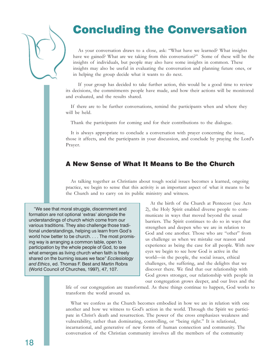# Concluding the Conversation

As your conversation draws to a close, ask: "What have we learned? What insights have we gained? What are we taking from this conversation?" Some of these will be the insights of individuals, but people may also have some insights in common. These insights may also be useful in evaluating the conversation and planning future ones, or in helping the group decide what it wants to do next.

If your group has decided to take further action, this would be a good time to review its decisions, the commitments people have made, and how their actions will be monitored and evaluated, and the results shared.

If there are to be further conversations, remind the participants when and where they will be held.

Thank the participants for coming and for their contributions to the dialogue.

It is always appropriate to conclude a conversation with prayer concerning the issue, those it affects, and the participants in your discussion, and conclude by praying the Lord's Prayer.

### A New Sense of What It Means to Be the Church

As talking together as Christians about tough social issues becomes a learned, ongoing practice, we begin to sense that this activity is an important aspect of what it means to be the Church and to carry on its public ministry and witness.

"We see that moral struggle, discernment and formation are not optional 'extras' alongside the understandings of church which come from our various traditions. They also challenge those traditional understandings, helping us learn from God's world how better to be church. . . . The most promising way is arranging a common table, open to participation by the whole people of God, to see what emerges as living church when faith is freely shared on the burning issues we face" *Ecclesiology and Ethics*, ed. Thomas F. Best and Martin Robra (World Council of Churches, 1997), 47, 107.

At the birth of the Church at Pentecost (see Acts 2), the Holy Spirit enabled diverse people to communicate in ways that moved beyond the usual barriers. The Spirit continues to do so in ways that strengthen and deepen who we are in relation to God and one another. Those who are "other" from us challenge us when we mistake our reason and experience as being the case for all people. With new eyes we begin to see how God is active in the world—in the people, the social issues, ethical challenges, the suffering, and the delights that we discover there. We find that our relationship with God grows stronger, our relationship with people in our congregation grows deeper, and our lives and the

life of our congregation are transformed. As these things continue to happen, God works to transform the world around us.

What we confess as the Church becomes embodied in how we are in relation with one another and how we witness to God's action in the world. Through the Spirit we participate in Christ's death and resurrection. The power of the cross emphasizes weakness and vulnerability, rather than dominating, controlling, or "being right." It is relational, incarnational, and generative of new forms of human connection and community. The conversation of the Christian community involves all the members of the community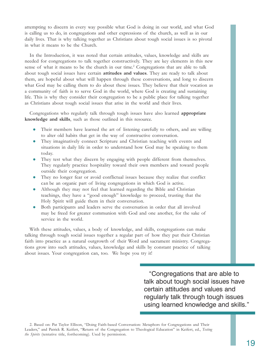attempting to discern in every way possible what God is doing in our world, and what God is calling us to do, in congregations and other expressions of the church, as well as in our daily lives. That is why talking together as Christians about tough social issues is so pivotal in what it means to be the Church.

In the Introduction, it was noted that certain attitudes, values, knowledge and skills are needed for congregations to talk together constructively. They are key elements in this new sense of what it means to be the church in our time.<sup>2</sup> Congregations that are able to talk about tough social issues have certain **attitudes and values**. They are ready to talk about them, are hopeful about what will happen through these conversations, and long to discern what God may be calling them to do about these issues. They believe that their vocation as a community of faith is to serve God in the world, where God is creating and sustaining life. This is why they consider their congregation to be a public place for talking together as Christians about tough social issues that arise in the world and their lives.

Congregations who regularly talk through tough issues have also learned **appropriate knowledge and skills**, such as those outlined in this resource.

- Their members have learned the art of listening carefully to others, and are willing to alter old habits that get in the way of constructive conversation.
- They imaginatively connect Scripture and Christian teaching with events and situations in daily life in order to understand how God may be speaking to them today.
- They test what they discern by engaging with people different from themselves. They regularly practice hospitality toward their own members and toward people outside their congregation.
- They no longer fear or avoid conflictual issues because they realize that conflict can be an organic part of living congregations in which God is active.
- Although they may not feel that learned regarding the Bible and Christian teachings, they have a "good enough" knowledge to proceed, trusting that the Holy Spirit will guide them in their conversation.
- Both participants and leaders serve the conversation in order that all involved may be freed for greater communion with God and one another, for the sake of service in the world.

With these attitudes, values, a body of knowledge, and skills, congregations can make talking through tough social issues together a regular part of how they put their Christian faith into practice as a natural outgrowth of their Word and sacrament ministry. Congregations grow into such attitudes, values, knowledge and skills by constant practice of talking about issues. Your congregation can, too. We hope you try it!

> "Congregations that are able to talk about tough social issues have certain attitudes and values and regularly talk through tough issues using learned knowledge and skills."

2. Based on: Pat Taylor Ellison, "Doing Faith-based Conversation: Metaphors for Congregations and Their Leaders," and Patrick R. Keifert, "Return of the Congregation to Theological Education" in Keifert, ed., *Testing the Spirits* (tentative title, forthcoming). Used by permission.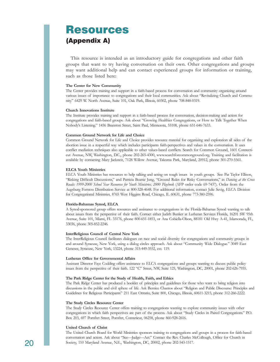## Resources (Appendix A)

This resource is intended as an introductory guide for congregations and other faith groups that want to try having conversation on their own. Other congregations and groups may want additional help and can contact experienced groups for information or training, such as those listed here:

#### **The Center for New Community**

The Center provides training and support in a faith-based process for conversation and community organizing around various issues of importance to congregations and their local communities. Ask about "Revitalizing Church and Community." 6429 W. North Avenue, Suite 101, Oak Park, Illinois, 60302, phone 708-848-0319.

### **Church Innovations Institute**

The Institute provides training and support in a faith-based process for conversation, decision-making and action for congregations and faith-based groups. Ask about "Growing Healthier Congregations, or How to Talk Together When Nobody's Listening." 1456 Branston Street, Saint Paul, Minnesota, 55108, phone 651-646-7633.

### **Common Ground Network for Life and Choice**

Common Ground Network for Life and Choice provides resource material for organizing and exploration all sides of the abortion issue in a respectful way which includes participants faith-perspectives and values in the conversation. It uses conflict mediation techniques also applicable to other values-based conflicts. Search for Common Ground, 1601 Connecticut Avenue, NW, Washington, D.C., phone 202-265-4300, www.searchforcommonground.org. Training and facilitation is available by contacting Mary Jacksteit, 7128 Willow Avenue, Takoma Park, Maryland, 20912, phone 301-270-5561.

#### **ELCA Youth Ministries**

ELCA Youth Ministries has resources to help talking and acting on tough issues in youth groups. See: Pat Taylor Ellison, "Risking Difficult Discussions," and Patricia Beattie Jung, "Ground Rules for Risky Conversations," in *Dancing at the Cross Roads: 1999-2000 School Year Resources for Youth Ministries, 2000 Playbook* (AFP order code 69-7437). Order from the Augsburg Fortress Distribution Service at 800-328-4648. For additional information, contact Julie Sevig, ELCA Division for Congregational Ministries, 8765 West Higgins Road, Chicago, IL 60631, phone 773-380-2596.

#### **Florida-Bahamas Synod, ELCA**

A Synod-sponsored group offers resources and assistance to congregations in the Florida-Bahamas Synod wanting to talk about issues from the perspective of their faith. Contact either Judith Bunker at Lutheran Services Florida, 16201 SW 95th Avenue, Suite 101, Miami, FL 33176, phone 800-651-1853, or Ana Cobiella-Olson, 88181 Old Hwy A-41, Islamorada, FL, 33036, phone 305-852-2246.

#### **InterReligious Council of Central New York**

The InterReligious Council facilitates dialogues on race and social diversity for congregations and community groups in and around Syracuse, New York, using a dialog circles approach. Ask about "Community Wide Dialogue." 3049 East Genesee, Syracuse, New York, 13224, phone 315-449-3552, ext. 119.

#### **Lutheran Office for Governmental Affairs**

Assistant Director Faye Codding offers assistance to ELCA congregations and groups wanting to discuss public policy issues from the perspective of their faith. 122 "C" Street, NW, Suite 125, Washington, DC, 20001, phone 202-626-7935.

#### **The Park Ridge Center for the Study of Health, Faith, and Ethics**

The Park Ridge Center has produced a booklet of principles and guidelines for those who want to bring religion into discussions in the public and civil sphere of life. Ask Bernice Chantos about "Religion and Public Discourse: Principles and Guidelines for Religious Participants" 211 East Ontario, Suite 800, Chicago, Illinois, 60611-3215, phone 312-266-2222.

#### **The Study Circles Resource Center**

The Study Circles Resource Center offers training to congregations wanting to explore community issues with other congregations in which faith perspectives are part of the process. Ask about "Study Circles in Paired Congregations." P.O. Box 203, 697 Pomfret Street, Pomfret, Conneticut, 06258, phone 860-928-2616.

#### **United Church of Christ**

The United Church Board for World Ministries sponsors training to congregations and groups in a process for faith-based conversation and action. Ask about "See—Judge—Act." Contact the Rev. Charles McCollough, Office for Church in 20 Society, 110 Maryland Avenue, N.E., Washington, DC, 20002, phone 202-543-1517.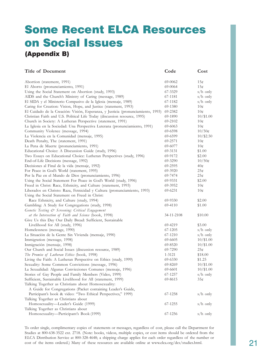# Some Recent ELCA Resources on Social Issues (Appendix B)

| <b>Title of Document</b>                                                                                            | Code       | Cost            |
|---------------------------------------------------------------------------------------------------------------------|------------|-----------------|
| Abortion (statement, 1991)                                                                                          | 69-0062    | 15¢             |
| El Aborto (pronunciamiento, 1991)                                                                                   | 69-0064    | 15 <sub>c</sub> |
| Using the Social Statement on Abortion (study, 1993)                                                                | 67-3329    | $s/h$ only      |
| AIDS and the Church's Ministry of Caring (message, 1989)                                                            | 67-1181    | $s/h$ only      |
| El SIDA y el Ministerio Compasivo de la Iglesia (mensaje, 1989)                                                     | 67-1182    | $s/h$ only      |
| Caring for Creation: Vision, Hope, and Justice (statement, 1993)                                                    | 69-1380    | 10¢             |
| El Cuidado de la Creación: Visión, Esperanza, y Justicia (pronunciamiento, 1993)                                    | 69-2382    | 10¢             |
| Christian Faith and U.S. Political Life Today (discussion resource, 1995)                                           | 69-1890    | $10/\$1.00$     |
| Church in Society: A Lutheran Perspective (statement, 1991)                                                         | 69-2102    | 10¢             |
| La Iglesia en la Sociedad: Una Perspectiva Luterana (pronunciamiento, 1991)                                         | 69-6063    | 10¢             |
| Community Violence (message, 1994)                                                                                  | 69-6598    | $10/50\epsilon$ |
| La Violencia en la Comunidad (mensaje, 1995)                                                                        | 69-6599    | $10/\$2.50$     |
| Death Penalty, The (statement, 1991)                                                                                | 69-2571    | 10¢             |
| La Pena de Muerte (pronunciamiento, 1991)                                                                           | 69-6077    | 10¢             |
| Educational Choice: A Discussion Guide (study, 1996)                                                                | 69-3131    | \$1.00          |
| Two Essays on Educational Choice: Lutheran Perspectives (study, 1996)                                               | 69-9172    | \$2.00          |
| End-of-Life Decisions (message, 1992)                                                                               | 69-3290    | 10/50c          |
| Decisiones al Final de la vida (mensaje, 1992)                                                                      | 69-2595    | 40¢             |
| For Peace in God's World (statement, 1995)                                                                          | 69-3920    | 25¢             |
| Por la Paz en el Mundo de Dios (pronunciamiento, 1996)                                                              | 69-7474    | 25¢             |
| Using the Social Statement For Peace in God's World (study, 1996)                                                   | 69-9331    | \$2.00          |
| Freed in Christ: Race, Ethnicity, and Culture (statement, 1993)                                                     | 69-3952    | 10¢             |
| Liberados en Christo: Raza, Fetnicidad y Cultura (pronunciamiento, 1993)                                            | 69-6231    | 10¢             |
| Using the Social Statement on Freed in Christ:                                                                      |            |                 |
| Race Ethnicity, and Culture (study, 1994)                                                                           | 69-9330    | \$2.00          |
| Gambling: A Study for Congregations (study, 1998)                                                                   | 69-4110    | \$1.00          |
| Genetic Testing & Screening: Critical Engagement                                                                    |            |                 |
| at the Intersection of Faith and Science (book, 1998)                                                               | 34-11-2108 | \$10.00         |
| Give Us this Day Our Daily Bread: Sufficient, Sustainable                                                           |            |                 |
| Livelihood for All (study, 1996)                                                                                    | 69-4219    | \$3.00          |
| Homelessness (message, 1990)                                                                                        | 67-1205    | s/h only        |
| La Situación de la Gente Sin Vivienda (mensaje, 1990)                                                               | 67-1210    | s/h only        |
| Immigration (message, 1998)                                                                                         | 69-6605    | $10/$ \$1.00    |
| Inmigración (mensaje, 1998)                                                                                         | 69-8520    | $10/\$1.00$     |
| Our Church and Social Issues (discussion resource, 1989)                                                            | 69-7290    | 25¢             |
| The Promise of Lutheran Ethics (book, 1998)                                                                         | 1-3121     | \$18.00         |
| Living the Faith: A Lutheran Perspective on Ethics (study, 1999)                                                    | 69-6330    | \$1.25          |
| Sexuality: Some Common Convictions (message, 1996)                                                                  | 69-8269    | $10/\$1.00$     |
| La Sexualidad: Algunas Convicciones Comunes (mensaje, 1996)                                                         | 69-6601    | $10/\$1.00$     |
| Stories of Gay People and Family Members (Video, 1999)                                                              | 67-1257    | $s/h$ only      |
| Sufficient, Sustainable Livelihood for All (statement, 1999)                                                        | 69-8615    | 35¢             |
| Talking Together as Christians about Homosexuality:<br>A Guide for Congregations (Packet containing Leader's Guide, |            |                 |
| Participant's book & video: "Two Ethical Perspectives," 1999)                                                       | 67-1258    | $s/h$ only      |
| Talking Together as Christians about                                                                                |            |                 |
| Homosexuality-Leader's Guide (1999)                                                                                 | 67-1255    | $s/h$ only      |
| Talking Together as Christians about                                                                                |            |                 |
| Homosexuality-Participant's Book (1999)                                                                             | 67-1256    | $s/h$ only      |
|                                                                                                                     |            |                 |

To order single, complimentary copies of statements or messages, regardless of cost, please call the Department for Studies at 800-638-3522 ext. 2718. (Note: books, videos, multiple copies, or cost items should be ordered from the ELCA Distribution Service at 800-328-4648; a shipping charge applies for each order regardless of the number or cost of the items ordered.) Many of these resources are available online at www.elca.org/dcs/studies.html.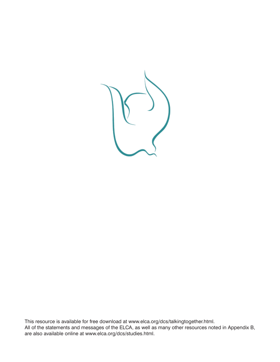

This resource is available for free download at www.elca.org/dcs/talkingtogether.html. All of the statements and messages of the ELCA, as well as many other resources noted in Appendix B, are also available online at www.elca.org/dcs/studies.html.